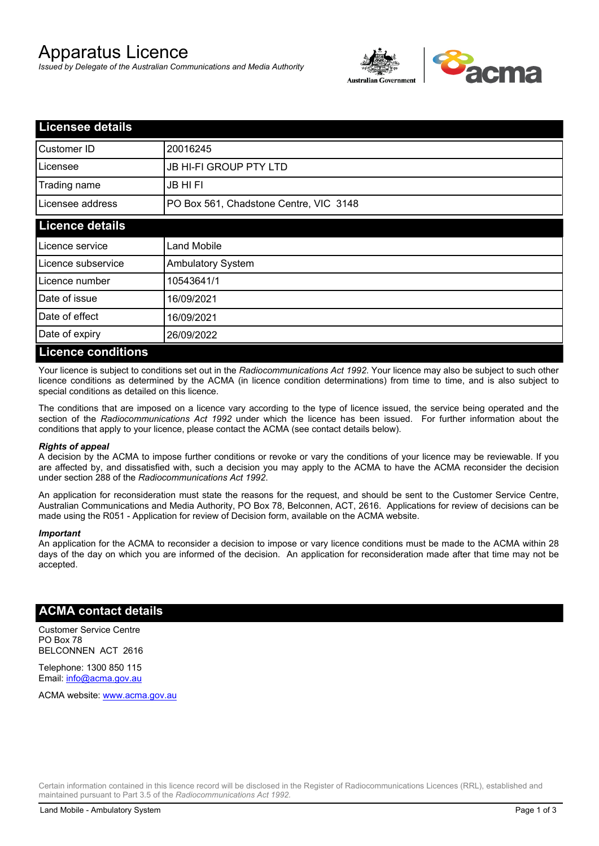# Apparatus Licence

*Issued by Delegate of the Australian Communications and Media Authority*



| <b>Licensee details</b>   |                                        |  |
|---------------------------|----------------------------------------|--|
| Customer ID               | 20016245                               |  |
| Licensee                  | <b>JB HI-FI GROUP PTY LTD</b>          |  |
| Trading name              | <b>JB HIFI</b>                         |  |
| Licensee address          | PO Box 561, Chadstone Centre, VIC 3148 |  |
| <b>Licence details</b>    |                                        |  |
| Licence service           | <b>Land Mobile</b>                     |  |
| Licence subservice        | <b>Ambulatory System</b>               |  |
| Licence number            | 10543641/1                             |  |
| Date of issue             | 16/09/2021                             |  |
| Date of effect            | 16/09/2021                             |  |
| Date of expiry            | 26/09/2022                             |  |
| <b>Licence conditions</b> |                                        |  |

Your licence is subject to conditions set out in the *Radiocommunications Act 1992*. Your licence may also be subject to such other licence conditions as determined by the ACMA (in licence condition determinations) from time to time, and is also subject to special conditions as detailed on this licence.

The conditions that are imposed on a licence vary according to the type of licence issued, the service being operated and the section of the *Radiocommunications Act 1992* under which the licence has been issued. For further information about the conditions that apply to your licence, please contact the ACMA (see contact details below).

#### *Rights of appeal*

A decision by the ACMA to impose further conditions or revoke or vary the conditions of your licence may be reviewable. If you are affected by, and dissatisfied with, such a decision you may apply to the ACMA to have the ACMA reconsider the decision under section 288 of the *Radiocommunications Act 1992*.

An application for reconsideration must state the reasons for the request, and should be sent to the Customer Service Centre, Australian Communications and Media Authority, PO Box 78, Belconnen, ACT, 2616. Applications for review of decisions can be made using the R051 - Application for review of Decision form, available on the ACMA website.

#### *Important*

An application for the ACMA to reconsider a decision to impose or vary licence conditions must be made to the ACMA within 28 days of the day on which you are informed of the decision. An application for reconsideration made after that time may not be accepted.

### **ACMA contact details**

Customer Service Centre PO Box 78 BELCONNEN ACT 2616

Telephone: 1300 850 115 Email: info@acma.gov.au

ACMA website: www.acma.gov.au

Certain information contained in this licence record will be disclosed in the Register of Radiocommunications Licences (RRL), established and maintained pursuant to Part 3.5 of the *Radiocommunications Act 1992.*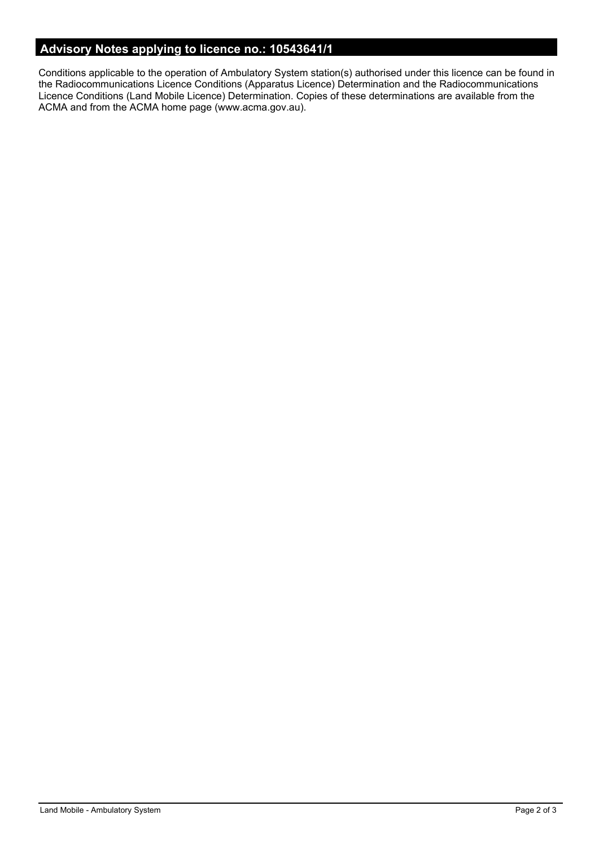# **Advisory Notes applying to licence no.: 10543641/1**

Conditions applicable to the operation of Ambulatory System station(s) authorised under this licence can be found in the Radiocommunications Licence Conditions (Apparatus Licence) Determination and the Radiocommunications Licence Conditions (Land Mobile Licence) Determination. Copies of these determinations are available from the ACMA and from the ACMA home page (www.acma.gov.au).